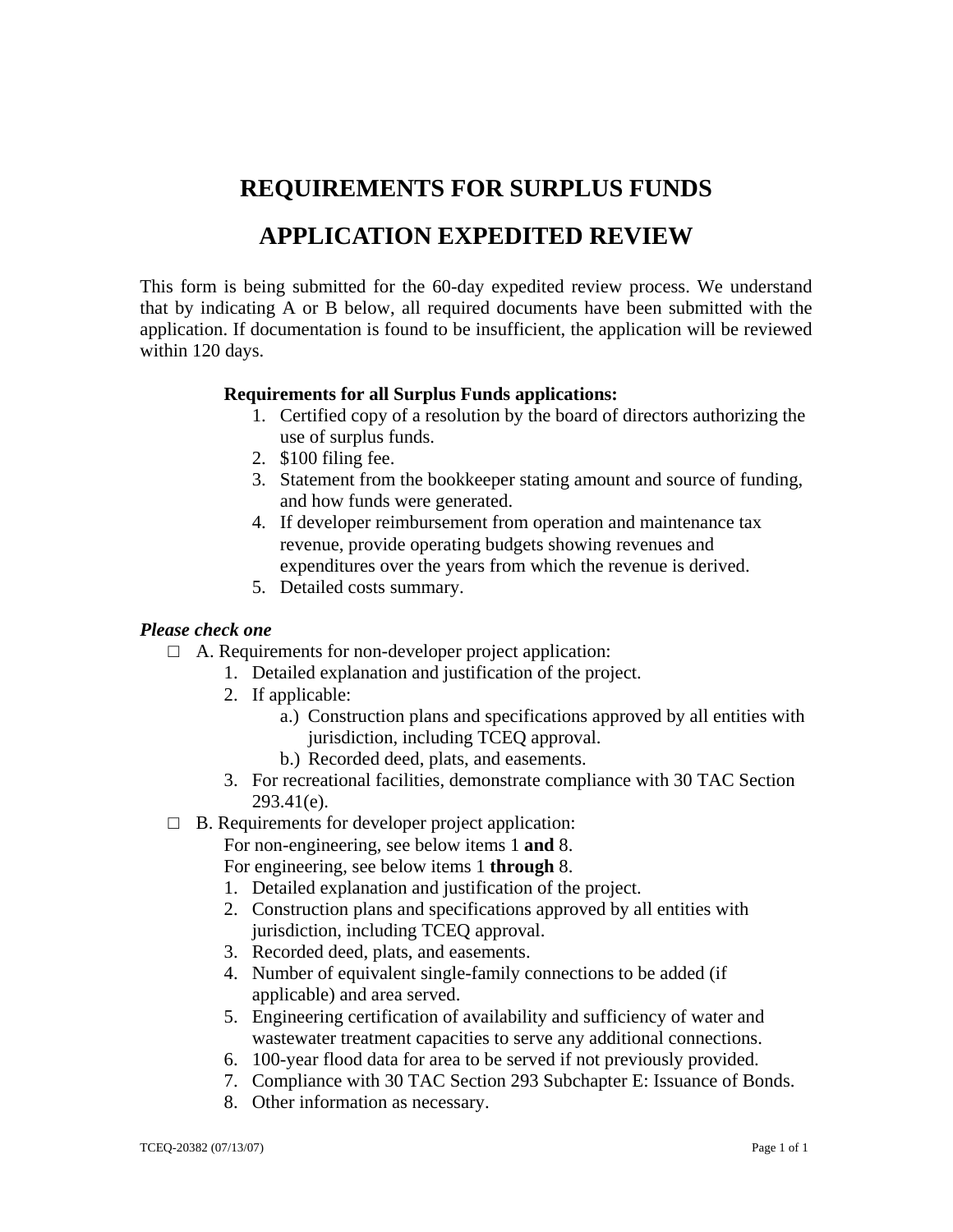## **REQUIREMENTS FOR SURPLUS FUNDS**

## **APPLICATION EXPEDITED REVIEW**

This form is being submitted for the 60-day expedited review process. We understand that by indicating A or B below, all required documents have been submitted with the application. If documentation is found to be insufficient, the application will be reviewed within 120 days.

## **Requirements for all Surplus Funds applications:**

- 1. Certified copy of a resolution by the board of directors authorizing the use of surplus funds.
- 2. \$100 filing fee.
- 3. Statement from the bookkeeper stating amount and source of funding, and how funds were generated.
- 4. If developer reimbursement from operation and maintenance tax revenue, provide operating budgets showing revenues and expenditures over the years from which the revenue is derived.
- 5. Detailed costs summary.

## *Please check one*

- $\Box$  A. Requirements for non-developer project application:
	- 1. Detailed explanation and justification of the project.
	- 2. If applicable:
		- a.) Construction plans and specifications approved by all entities with jurisdiction, including TCEQ approval.
		- b.) Recorded deed, plats, and easements.
	- 3. For recreational facilities, demonstrate compliance with 30 TAC Section 293.41(e).
- $\Box$  B. Requirements for developer project application:

For non-engineering, see below items 1 **and** 8.

For engineering, see below items 1 **through** 8.

- 1. Detailed explanation and justification of the project.
- 2. Construction plans and specifications approved by all entities with jurisdiction, including TCEQ approval.
- 3. Recorded deed, plats, and easements.
- 4. Number of equivalent single-family connections to be added (if applicable) and area served.
- 5. Engineering certification of availability and sufficiency of water and wastewater treatment capacities to serve any additional connections.
- 6. 100-year flood data for area to be served if not previously provided.
- 7. Compliance with 30 TAC Section 293 Subchapter E: Issuance of Bonds.
- 8. Other information as necessary.